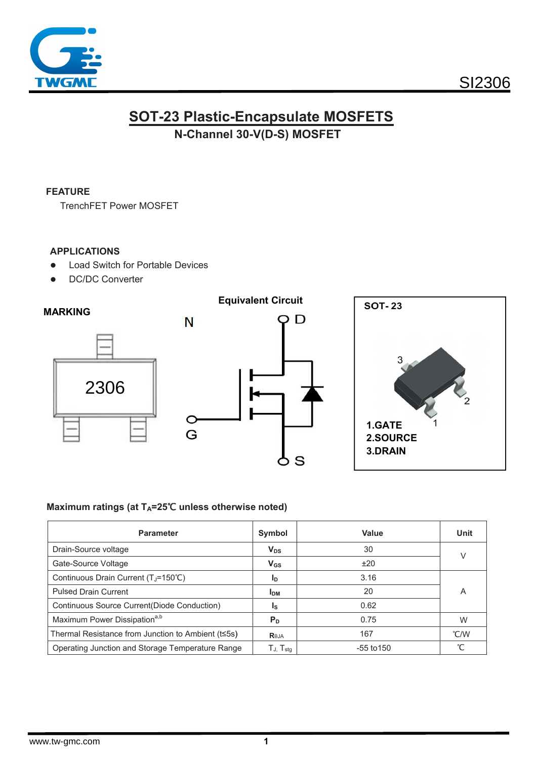

## **SOT-23 Plastic-Encapsulate MOSFETS** N-Channel 30-V(D-S) MOSFET

#### **FEATURE**

**TrenchFET Power MOSFET** 

#### **APPLICATIONS**

- **Load Switch for Portable Devices**  $\bullet$
- **DC/DC Converter**  $\bullet$



#### Maximum ratings (at T<sub>A</sub>=25℃ unless otherwise noted)

| <b>Parameter</b>                                   | Symbol                                                       | Value          | Unit |  |
|----------------------------------------------------|--------------------------------------------------------------|----------------|------|--|
| Drain-Source voltage                               | $V_{DS}$                                                     | 30             | V    |  |
| Gate-Source Voltage                                | $V_{GS}$                                                     | ±20            |      |  |
| Continuous Drain Current (TJ=150°C)                | 1 <sub>D</sub>                                               | 3.16           |      |  |
| <b>Pulsed Drain Current</b>                        | <b>IDM</b>                                                   | 20             | Α    |  |
| Continuous Source Current(Diode Conduction)        | ls.                                                          | 0.62           |      |  |
| Maximum Power Dissipation <sup>a,b</sup>           | P <sub>D</sub>                                               | 0.75           | W    |  |
| Thermal Resistance from Junction to Ambient (t<5s) | Reja                                                         | 167            | °C/W |  |
| Operating Junction and Storage Temperature Range   | $\mathsf{T}_{\mathsf{J},\mathsf{}}\mathsf{T}_{\mathsf{stg}}$ | $-55$ to $150$ |      |  |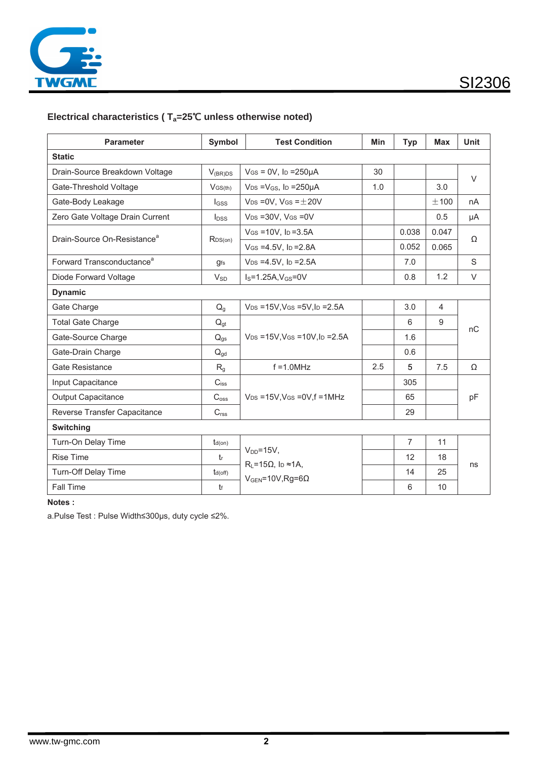

## Electrical characteristics ( $T_a=25^{\circ}C$  unless otherwise noted)

| <b>Parameter</b>                        | Symbol              | <b>Test Condition</b>                                                               | <b>Min</b> | <b>Typ</b>     | <b>Max</b>     | <b>Unit</b> |  |  |  |
|-----------------------------------------|---------------------|-------------------------------------------------------------------------------------|------------|----------------|----------------|-------------|--|--|--|
| <b>Static</b>                           |                     |                                                                                     |            |                |                |             |  |  |  |
| Drain-Source Breakdown Voltage          | $V_{(BR)DS}$        | $V$ GS = 0V, Ip = 250 $\mu$ A                                                       | 30         |                |                | $\vee$      |  |  |  |
| Gate-Threshold Voltage                  | $V$ GS(th)          | $V_{DS} = V_{GS}$ , ID = 250µA                                                      | 1.0        |                | 3.0            |             |  |  |  |
| Gate-Body Leakage                       | $_{\text{loss}}$    | $V_{DS} = 0V$ , $V_{GS} = \pm 20V$                                                  |            |                | ±100           | nA          |  |  |  |
| Zero Gate Voltage Drain Current         | $I_{DSS}$           | $V_{DS} = 30V$ , $V_{GS} = 0V$                                                      |            |                | 0.5            | μA          |  |  |  |
| Drain-Source On-Resistance <sup>a</sup> | R <sub>DS(on)</sub> | $V$ GS = 10V, lp = 3.5A                                                             |            | 0.038          | 0.047          | Ω           |  |  |  |
|                                         |                     | $V$ GS = 4.5V, ID = 2.8A                                                            |            | 0.052          | 0.065          |             |  |  |  |
| Forward Transconductance <sup>a</sup>   | <b>gfs</b>          | $V_{DS} = 4.5V$ , lp = 2.5A                                                         |            | 7.0            |                | S           |  |  |  |
| Diode Forward Voltage                   | $V_{SD}$            | $IS=1.25A, VGS=0V$                                                                  |            | 0.8            | 1.2            | $\vee$      |  |  |  |
| <b>Dynamic</b>                          |                     |                                                                                     |            |                |                |             |  |  |  |
| Gate Charge                             | $Q_q$               | $V_{DS} = 15V$ , $V_{GS} = 5V$ , $I_D = 2.5A$                                       |            | 3.0            | $\overline{4}$ | nC          |  |  |  |
| <b>Total Gate Charge</b>                | $Q_{gt}$            |                                                                                     |            | 6              | 9              |             |  |  |  |
| Gate-Source Charge                      | $Q_{gs}$            | $V_{DS} = 15V$ , $V_{GS} = 10V$ , $I_D = 2.5A$                                      |            | 1.6            |                |             |  |  |  |
| Gate-Drain Charge                       | $Q_{\text{ad}}$     |                                                                                     |            | 0.6            |                |             |  |  |  |
| <b>Gate Resistance</b>                  | $R_{q}$             | $f = 1.0$ MHz                                                                       | 2.5        | 5              | 7.5            | Ω           |  |  |  |
| Input Capacitance                       | $C_{iss}$           |                                                                                     |            | 305            |                | pF          |  |  |  |
| <b>Output Capacitance</b>               | $C_{\text{oss}}$    | $V_{DS}$ =15V, VGs =0V, f =1MHz                                                     |            | 65             |                |             |  |  |  |
| Reverse Transfer Capacitance            | $C_{\text{rss}}$    |                                                                                     |            | 29             |                |             |  |  |  |
| Switching                               |                     |                                                                                     |            |                |                |             |  |  |  |
| Turn-On Delay Time                      | $t_{d(on)}$         |                                                                                     |            | $\overline{7}$ | 11             | ns          |  |  |  |
| <b>Rise Time</b>                        | $t_{r}$             | $V_{DD} = 15V$ ,                                                                    |            | 12             | 18             |             |  |  |  |
| Turn-Off Delay Time                     | $t_{d(off)}$        | $R_L = 15\Omega$ , l <sub>D</sub> $\approx 1A$ ,<br>$V_{GEN} = 10V$ , Rg=6 $\Omega$ |            | 14             | 25             |             |  |  |  |
| Fall Time                               | tf                  |                                                                                     |            | 6              | 10             |             |  |  |  |

Notes:

a.Pulse Test : Pulse Width≤300µs, duty cycle ≤2%.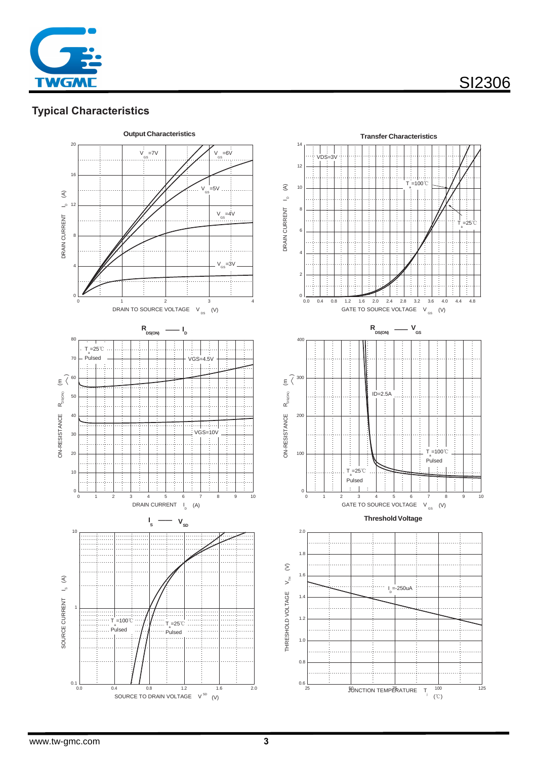

## **Typical Characteristics**